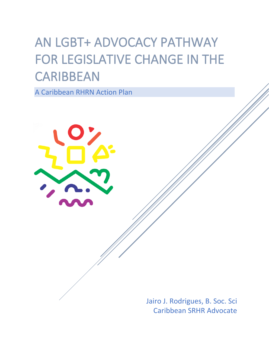# AN LGBT+ ADVOCACY PATHWAY FOR LEGISLATIVE CHANGE IN THE **CARIBBEAN**

A Caribbean RHRN Action Plan



Jairo J. Rodrigues, B. Soc. Sci Caribbean SRHR Advocate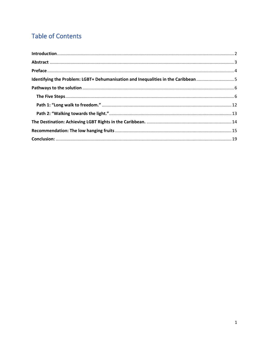## **Table of Contents**

| Identifying the Problem: LGBT+ Dehumanisation and Inequalities in the Caribbean 5 |  |
|-----------------------------------------------------------------------------------|--|
|                                                                                   |  |
|                                                                                   |  |
|                                                                                   |  |
|                                                                                   |  |
|                                                                                   |  |
|                                                                                   |  |
|                                                                                   |  |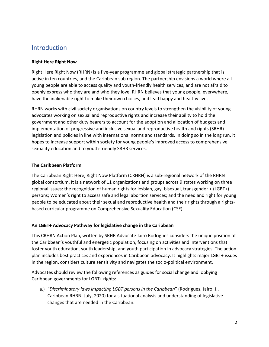## <span id="page-2-0"></span>Introduction

#### **Right Here Right Now**

Right Here Right Now (RHRN) is a five-year programme and global strategic partnership that is active in ten countries, and the Caribbean sub region. The partnership envisions a world where all young people are able to access quality and youth-friendly health services, and are not afraid to openly express who they are and who they love. RHRN believes that young people, everywhere, have the inalienable right to make their own choices, and lead happy and healthy lives.

RHRN works with civil society organisations on country levels to strengthen the visibility of young advocates working on sexual and reproductive rights and increase their ability to hold the government and other duty bearers to account for the adoption and allocation of budgets and implementation of progressive and inclusive sexual and reproductive health and rights (SRHR) legislation and policies in line with international norms and standards. In doing so in the long run, it hopes to increase support within society for young people's improved access to comprehensive sexuality education and to youth-friendly SRHR services.

#### **The Caribbean Platform**

The Caribbean Right Here, Right Now Platform (CRHRN) is a sub-regional network of the RHRN global consortium. It is a network of 11 organizations and groups across 9 states working on three regional issues: the recognition of human rights for lesbian, gay, bisexual, transgender + (LGBT+) persons; Women's right to access safe and legal abortion services; and the need and right for young people to be educated about their sexual and reproductive health and their rights through a rightsbased curricular programme on Comprehensive Sexuality Education (CSE).

#### **An LGBT+ Advocacy Pathway for legislative change in the Caribbean**

This CRHRN Action Plan, written by SRHR Advocate Jairo Rodrigues considers the unique position of the Caribbean's youthful and energetic population, focusing on activities and interventions that foster youth education, youth leadership, and youth participation in advocacy strategies. The action plan includes best practices and experiences in Caribbean advocacy. It highlights major LGBT+ issues in the region, considers culture sensitivity and navigates the socio-political environment.

Advocates should review the following references as guides for social change and lobbying Caribbean governments for LGBT+ rights:

a.) "*Discriminatory laws impacting LGBT persons in the Caribbean*" (Rodrigues, Jairo. J., Caribbean RHRN. July, 2020) for a situational analysis and understanding of legislative changes that are needed in the Caribbean.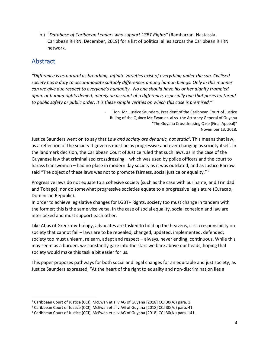b.) "*Database of Caribbean Leaders who support LGBT Rights"* (Rambarran, Nastassia. Caribbean RHRN. December, 2019) for a list of political allies across the Caribbean RHRN network.

## <span id="page-3-0"></span>Abstract

*"Difference is as natural as breathing. Infinite varieties exist of everything under the sun. Civilised society has a duty to accommodate suitably differences among human beings. Only in this manner can we give due respect to everyone's humanity. No one should have his or her dignity trampled upon, or human rights denied, merely on account of a difference, especially one that poses no threat to public safety or public order. It is these simple verities on which this case is premised."<sup>1</sup>*

> - Hon. Mr. Justice Saunders, President of the Caribbean Court of Justice Ruling of the Quincy Mc.Ewan et. al vs. the Attorney General of Guyana "The Guyana Crossdressing Case (Final Appeal)" November 13, 2018.

Justice Saunders went on to say that *Law and society are dynamic, not static*<sup>2</sup> . This means that law, as a reflection of the society it governs must be as progressive and ever changing as society itself. In the landmark decision, the Caribbean Court of Justice ruled that such laws, as in the case of the Guyanese law that criminalised crossdressing – which was used by police officers and the court to harass transwomen – had no place in modern day society as it was outdated, and as Justice Barrow said "The object of these laws was not to promote fairness, social justice or equality."<sup>3</sup>

Progressive laws do not equate to a cohesive society (such as the case with Suriname, and Trinidad and Tobago); nor do somewhat progressive societies equate to a progressive legislature (Curacao, Dominican Republic).

In order to achieve legislative changes for LGBT+ Rights, society too must change in tandem with the former; this is the same vice versa. In the case of social equality, social cohesion and law are interlocked and must support each other.

Like Atlas of Greek mythology, advocates are tasked to hold up the heavens, it is a responsibility on society that cannot fail – laws are to be repealed, changed, updated, implemented, defended; society too must unlearn, relearn, adapt and respect – always, never ending, continuous. While this may seem as a burden, we constantly gaze into the stars we bare above our heads, hoping that society would make this task a bit easier for us.

This paper proposes pathways for both social and legal changes for an equitable and just society; as Justice Saunders expressed, "At the heart of the right to equality and non-discrimination lies a

<sup>&</sup>lt;sup>1</sup> Caribbean Court of Justice (CCJ), McEwan et al v AG of Guyana [2018] CCJ 30(AJ) para. 1.

<sup>&</sup>lt;sup>2</sup> Caribbean Court of Justice (CCJ), McEwan et al v AG of Guyana [2018] CCJ 30(AJ) para. 41.

<sup>&</sup>lt;sup>3</sup> Caribbean Court of Justice (CCJ), McEwan et al v AG of Guyana [2018] CCJ 30(AJ) para. 141.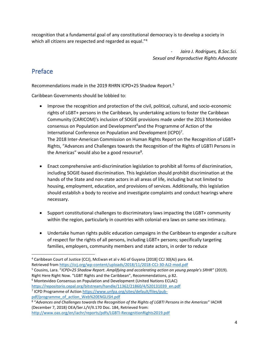recognition that a fundamental goal of any constitutional democracy is to develop a society in which all citizens are respected and regarded as equal."<sup>4</sup>

> *- Jairo J. Rodrigues, B.Soc.Sci. Sexual and Reproductive Rights Advocate*

## <span id="page-4-0"></span>Preface

Recommendations made in the 2019 RHRN ICPD+25 Shadow Report.<sup>5</sup>

Caribbean Governments should be lobbied to:

- Improve the recognition and protection of the civil, political, cultural, and socio-economic rights of LGBT+ persons in the Caribbean, by undertaking actions to foster the Caribbean Community (CARICOM)'s inclusion of SOGIE provisions made under the 2013 Montevideo consensus on Population and Development<sup>6</sup>and the Programme of Action of the International Conference on Population and Development (ICPD)<sup>7</sup>. The 2018 Inter-American Commission on Human Rights Report on the Recognition of LGBT+ Rights, "Advances and Challenges towards the Recognition of the Rights of LGBTI Persons in the Americas" would also be a good resource<sup>8</sup>.
- Enact comprehensive anti-discrimination legislation to prohibit all forms of discrimination, including SOGIE-based discrimination. This legislation should prohibit discrimination at the hands of the State and non-state actors in all areas of life, including but not limited to housing, employment, education, and provisions of services. Additionally, this legislation should establish a body to receive and investigate complaints and conduct hearings where necessary.
- Support constitutional challenges to discriminatory laws impacting the LGBT+ community within the region, particularly in countries with colonial-era laws on same-sex intimacy.
- Undertake human rights public education campaigns in the Caribbean to engender a culture of respect for the rights of all persons, including LGBT+ persons; specifically targeting families, employers, community members and state actors, in order to reduce

<sup>4</sup> Caribbean Court of Justice (CCJ), McEwan et al v AG of Guyana [2018] CCJ 30(AJ) para. 64. Retrieved fro[m https://ccj.org/wp-content/uploads/2018/11/2018-CCJ-30-AJ2-mod.pdf](https://ccj.org/wp-content/uploads/2018/11/2018-CCJ-30-AJ2-mod.pdf) 

<sup>5</sup> Cousins, Lara. "*ICPD+25 Shadow Report. Amplifying and accelerating action on young people's SRHR"* (2019)*.* 

Right Here Right Now. "LGBT Rights and the Caribbean", Recommendations, p 82. <sup>6</sup> Montevideo Consensus on Population and Development (United Nations ECLAC) [https://repositorio.cepal.org/bitstream/handle/11362/21860/4/S20131039\\_en.pdf](https://repositorio.cepal.org/bitstream/handle/11362/21860/4/S20131039_en.pdf)

<sup>&</sup>lt;sup>7</sup> ICPD Programme of Action [https://www.unfpa.org/sites/default/files/pub](https://www.unfpa.org/sites/default/files/pub-pdf/programme_of_action_Web%20ENGLISH.pdf)[pdf/programme\\_of\\_action\\_Web%20ENGLISH.pdf](https://www.unfpa.org/sites/default/files/pub-pdf/programme_of_action_Web%20ENGLISH.pdf)

<sup>8</sup> "*Advances and Challenges towards the Recognition of the Rights of LGBTI Persons in the Americas*" IACHR (December 7, 2018) OEA/Ser.L/V/II.170 Doc. 184, Retrieved from: <http://www.oas.org/en/iachr/reports/pdfs/LGBTI-RecognitionRights2019.pdf>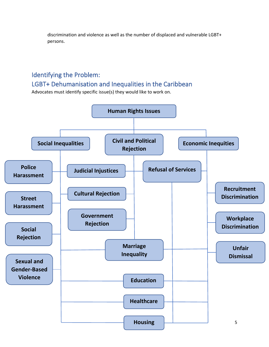discrimination and violence as well as the number of displaced and vulnerable LGBT+ persons.

# <span id="page-5-0"></span>Identifying the Problem:

### LGBT+ Dehumanisation and Inequalities in the Caribbean

Advocates must identify specific issue(s) they would like to work on.

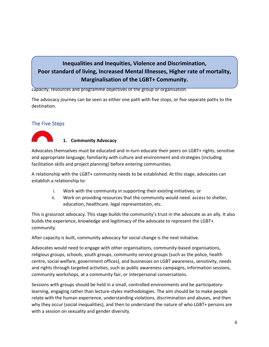## <span id="page-6-0"></span>**Poor standard of living, Increased Mental Illnesses, Higher rate of mortality, Figure steps in 2 pathways advocates can take for legislation of the LGBT+ Community.**<br> **Marginalisation of the LGBT+ Community. Inequalities and Inequities, Violence and Discrimination,**

capacity, resources and programme objectives of the group or organisation.

The advocacy journey can be seen as either one path with five stops, or five separate paths to the destination.

#### <span id="page-6-1"></span>The Five Steps



#### **1. Community Advocacy**

Advocates themselves must be educated and in-turn educate their peers on LGBT+ rights, sensitive and appropriate language, familiarity with culture and environment and strategies (including facilitation skills and project planning) before entering communities.

A relationship with the LGBT+ community needs to be established. At this stage, advocates can establish a relationship to:

- i. Work with the community in supporting their existing initiatives, or
- ii. Work on providing resources that the community would need: access to shelter, education, healthcare, legal representation, etc.

This is grassroot advocacy. This stage builds the community's trust in the advocate as an ally. It also builds the experience, knowledge and legitimacy of the advocate to represent the LGBT+ community.

After capacity is built, community advocacy for social change is the next initiative.

Advocates would need to engage with other organisations, community-based organisations, religious groups, schools, youth groups, community service groups (such as the police, health centre, social welfare, government offices), and businesses on LGBT awareness, sensitivity, needs and rights through targeted activities, such as public awareness campaigns, information sessions, community workshops, at a community fair, or interpersonal conversations.

Sessions with groups should be held in a small, controlled environments and be participatorylearning, engaging rather than lecture-styles methodologies. The aim should be to make people relate with the human experience, understanding violations, discrimination and abuses, and then why they occur (social inequalities), and then to understand the nature of who LGBT+ persons are with a session on sexuality and gender diversity.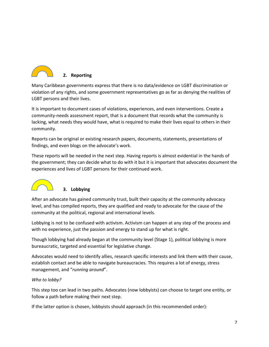

Many Caribbean governments express that there is no data/evidence on LGBT discrimination or violation of any rights, and some government representatives go as far as denying the realities of LGBT persons and their lives.

It is important to document cases of violations, experiences, and even interventions. Create a community-needs assessment report, that is a document that records what the community is lacking, what needs they would have, what is required to make their lives equal to others in their community.

Reports can be original or existing research papers, documents, statements, presentations of findings, and even blogs on the advocate's work.

These reports will be needed in the next step. Having reports is almost evidential in the hands of the government; they can decide what to do with it but it is important that advocates document the experiences and lives of LGBT persons for their continued work.



#### **3. Lobbying**

After an advocate has gained community trust, built their capacity at the community advocacy level, and has compiled reports, they are qualified and ready to advocate for the cause of the community at the political, regional and international levels.

Lobbying is not to be confused with activism. Activism can happen at any step of the process and with no experience, just the passion and energy to stand up for what is right.

Though lobbying had already began at the community level (Stage 1), political lobbying is more bureaucratic, targeted and essential for legislative change.

Advocates would need to identify allies, research specific interests and link them with their cause, establish contact and be able to navigate bureaucracies. This requires a lot of energy, stress management, and "*running around*".

#### *Who to lobby?*

This step too can lead in two paths. Advocates (now lobbyists) can choose to target one entity, or follow a path before making their next step.

If the latter option is chosen, lobbyists should approach (in this recommended order):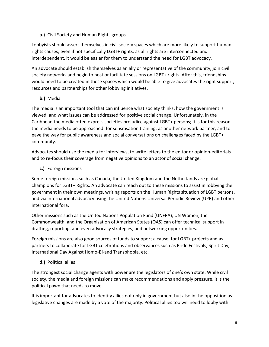#### **a.)** Civil Society and Human Rights groups

Lobbyists should assert themselves in civil society spaces which are more likely to support human rights causes, even if not specifically LGBT+ rights; as all rights are interconnected and interdependent, it would be easier for them to understand the need for LGBT advocacy.

An advocate should establish themselves as an ally or representative of the community, join civil society networks and begin to host or facilitate sessions on LGBT+ rights. After this, friendships would need to be created in these spaces which would be able to give advocates the right support, resources and partnerships for other lobbying initiatives.

#### **b.)** Media

The media is an important tool that can influence what society thinks, how the government is viewed, and what issues can be addressed for positive social change. Unfortunately, in the Caribbean the media often express societies prejudice against LGBT+ persons; it is for this reason the media needs to be approached: for sensitisation training, as another network partner, and to pave the way for public awareness and social conversations on challenges faced by the LGBT+ community.

Advocates should use the media for interviews, to write letters to the editor or opinion-editorials and to re-focus their coverage from negative opinions to an actor of social change.

**c.)** Foreign missions

Some foreign missions such as Canada, the United Kingdom and the Netherlands are global champions for LGBT+ Rights. An advocate can reach out to these missions to assist in lobbying the government in their own meetings, writing reports on the Human Rights situation of LGBT persons, and via international advocacy using the United Nations Universal Periodic Review (UPR) and other international fora.

Other missions such as the United Nations Population Fund (UNFPA), UN Women, the Commonwealth, and the Organisation of American States (OAS) can offer technical support in drafting, reporting, and even advocacy strategies, and networking opportunities.

Foreign missions are also good sources of funds to support a cause, for LGBT+ projects and as partners to collaborate for LGBT celebrations and observances such as Pride Festivals, Spirit Day, International Day Against Homo-Bi-and Transphobia, etc.

#### **d.)** Political allies

The strongest social change agents with power are the legislators of one's own state. While civil society, the media and foreign missions can make recommendations and apply pressure, it is the political pawn that needs to move.

It is important for advocates to identify allies not only in government but also in the opposition as legislative changes are made by a vote of the majority. Political allies too will need to lobby with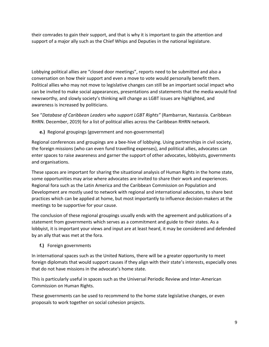their comrades to gain their support, and that is why it is important to gain the attention and support of a major ally such as the Chief Whips and Deputies in the national legislature.

Lobbying political allies are "closed door meetings", reports need to be submitted and also a conversation on how their support and even a move to vote would personally benefit them. Political allies who may not move to legislative changes can still be an important social impact who can be invited to make social appearances, presentations and statements that the media would find newsworthy, and slowly society's thinking will change as LGBT issues are highlighted, and awareness is increased by politicians.

See "*Database of Caribbean Leaders who support LGBT Rights"* (Rambarran, Nastassia. Caribbean RHRN. December, 2019) for a list of political allies across the Caribbean RHRN network.

**e.)** Regional groupings (government and non-governmental)

Regional conferences and groupings are a bee-hive of lobbying. Using partnerships in civil society, the foreign missions (who can even fund travelling expenses), and political allies, advocates can enter spaces to raise awareness and garner the support of other advocates, lobbyists, governments and organisations.

These spaces are important for sharing the situational analysis of Human Rights in the home state, some opportunities may arise where advocates are invited to share their work and experiences. Regional fora such as the Latin America and the Caribbean Commission on Population and Development are mostly used to network with regional and international advocates, to share best practices which can be applied at home, but most importantly to influence decision-makers at the meetings to be supportive for your cause.

The conclusion of these regional groupings usually ends with the agreement and publications of a statement from governments which serves as a commitment and guide to their states. As a lobbyist, it is important your views and input are at least heard, it may be considered and defended by an ally that was met at the fora.

**f.)** Foreign governments

In international spaces such as the United Nations, there will be a greater opportunity to meet foreign diplomats that would support causes if they align with their state's interests, especially ones that do not have missions in the advocate's home state.

This is particularly useful in spaces such as the Universal Periodic Review and Inter-American Commission on Human Rights.

These governments can be used to recommend to the home state legislative changes, or even proposals to work together on social cohesion projects.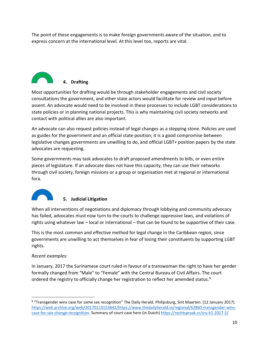The point of these engagements is to make foreign governments aware of the situation, and to express concern at the international level. At this level too, reports are vital.



Most opportunities for drafting would be through stakeholder engagements and civil society consultations the government, and other state actors would facilitate for review and input before assent. An advocate would need to be involved in these processes to include LGBT considerations to state policies or in planning national projects. This is why maintaining civil society networks and contact with political allies are also important.

An advocate can also request policies instead of legal changes as a stepping stone. Policies are used as guides for the government and an official state position; it is a good compromise between legislative changes governments are unwilling to do, and official LGBT+ position papers by the state advocates are requesting.

Some governments may task advocates to draft proposed amendments to bills, or even entire pieces of legislature. If an advocate does not have this capacity, they can use their networks through civil society, foreign missions or a group or organisation met at regional or international fora.



#### **5. Judicial Litigation**

When all interventions of negotiations and diplomacy through lobbying and community advocacy has failed, advocates must now turn to the courts to challenge oppressive laws, and violations of rights using whatever law – local or international – that can be found to be supportive of their case.

This is the most common and effective method for legal change in the Caribbean region, since governments are unwilling to act themselves in fear of losing their constituents by supporting LGBT rights.

#### *Recent examples:*

In January, 2017 the Surinamese court ruled in favour of a transwoman the right to have her gender formally changed from "Male" to "Female" with the Central Bureau of Civil Affairs. The court ordered the registry to officially change her registration to reflect her amended status.<sup>9</sup>

<sup>9</sup> "Transgender wins case for same sex recognition" The Daily Herald*.* Philipsburg, Sint Maarten. (12 January 2017). [https://web.archive.org/web/20170113153842/https://www.thedailyherald.sx/regional/62860-transgender-wins](https://web.archive.org/web/20170113153842/https:/www.thedailyherald.sx/regional/62860-transgender-wins-case-for-sex-change-recognition)[case-for-sex-change-recognition.](https://web.archive.org/web/20170113153842/https:/www.thedailyherald.sx/regional/62860-transgender-wins-case-for-sex-change-recognition) Summary of court case here (in Dutch[\) https://rechtspraak.sr/sru-k1-2017-2/](https://rechtspraak.sr/sru-k1-2017-2/)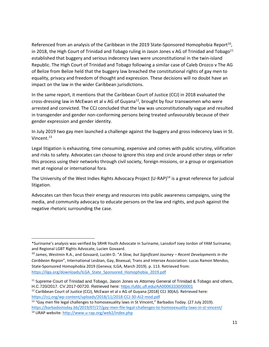Referenced from an analysis of the Caribbean in the 2019 State-Sponsored Homophobia Report<sup>10</sup>, in 2018, the High Court of Trinidad and Tobago ruling in Jason Jones v AG of Trinidad and Tobago<sup>11</sup> established that buggery and serious indecency laws were unconstitutional in the twin-island Republic. The High Court of Trinidad and Tobago following a similar case of Caleb Orozco v The AG of Belize from Belize held that the buggery law breached the constitutional rights of gay men to equality, privacy and freedom of thought and expression. These decisions will no doubt have an impact on the law in the wider Caribbean jurisdictions.

In the same report, it mentions that the Caribbean Court of Justice (CCJ) in 2018 evaluated the cross-dressing law in McEwan et al v AG of Guyana<sup>12</sup>, brought by four transwomen who were arrested and convicted. The CCJ concluded that the law was unconstitutionally vague and resulted in transgender and gender non-conforming persons being treated unfavourably because of their gender expression and gender identity.

In July 2019 two gay men launched a challenge against the buggery and gross indecency laws in St. Vincent.<sup>13</sup>

Legal litigation is exhausting, time consuming, expensive and comes with public scrutiny, vilification and risks to safety. Advocates can choose to ignore this step and circle around other steps or refer this process using their networks through civil society, foreign missions, or a group or organisation met at regional or international fora.

The University of the West Indies Rights Advocacy Project (U-RAP)<sup>14</sup> is a great reference for judicial litigation.

Advocates can then focus their energy and resources into public awareness campaigns, using the media, and community advocacy to educate persons on the law and rights, and push against the negative rhetoric surrounding the case.

 $12$  Caribbean Court of Justice (CCJ), McEwan et al v AG of Guyana [2018] CCJ 30(AJ). Retrieved here: <https://ccj.org/wp-content/uploads/2018/11/2018-CCJ-30-AJ2-mod.pdf>

<sup>\*</sup>Suriname's analysis was verified by SRHR Youth Advocate in Suriname, Lansdorf Joey Jordon of YAM Suriname; and Regional LGBT Rights Advocate, Lucien Govaard.

<sup>10</sup> James, Westmin R.A., and Govaard, Luciën D. "*A Slow, but Significant Journey – Recent Developments in the Caribbean Region*", International Lesbian, Gay, Bisexual, Trans and Intersex Association: Lucas Ramon Mendos, State-Sponsored Homophobia 2019 (Geneva; ILGA, March 2019). p. 113. Retrieved from: [https://ilga.org/downloads/ILGA\\_State\\_Sponsored\\_Homophobia\\_2019.pdf](https://ilga.org/downloads/ILGA_State_Sponsored_Homophobia_2019.pdf)

<sup>&</sup>lt;sup>11</sup> Supreme Court of Trinidad and Tobago, Jason Jones vs Attorney General of Trinidad & Tobago and others, H.C.720/2017. CV.2017-00720. Retrieved here:<https://ufdc.ufl.edu/AA00063330/00001>

<sup>&</sup>lt;sup>13</sup> "Gay men file legal challenges to homosexuality laws in St Vincent," Barbados Today. (27 July 2019). <https://barbadostoday.bb/2019/07/27/gay-men-file-legal-challenges-to-homosexuality-laws-in-st-vincent/> <sup>14</sup> URAP website[: http://www.u-rap.org/web2/index.php](http://www.u-rap.org/web2/index.php)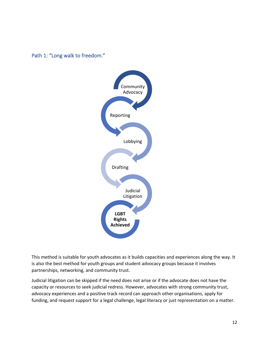<span id="page-12-0"></span>



This method is suitable for youth advocates as it builds capacities and experiences along the way. It is also the best method for youth groups and student advocacy groups because it involves partnerships, networking, and community trust.

Judicial litigation can be skipped if the need does not arise or if the advocate does not have the capacity or resources to seek judicial redress. However, advocates with strong community trust, advocacy experiences and a positive track record can approach other organisations, apply for funding, and request support for a legal challenge, legal literacy or just representation on a matter.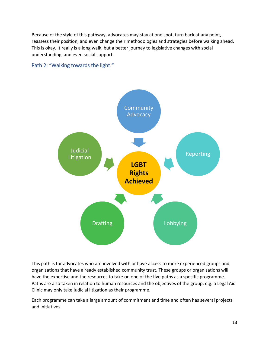Because of the style of this pathway, advocates may stay at one spot, turn back at any point, reassess their position, and even change their methodologies and strategies before walking ahead. This is okay. It really is a long walk, but a better journey to legislative changes with social understanding, and even social support.

#### <span id="page-13-0"></span>Path 2: "Walking towards the light."



This path is for advocates who are involved with or have access to more experienced groups and organisations that have already established community trust. These groups or organisations will have the expertise and the resources to take on one of the five paths as a specific programme. Paths are also taken in relation to human resources and the objectives of the group, e.g. a Legal Aid Clinic may only take judicial litigation as their programme.

Each programme can take a large amount of commitment and time and often has several projects and initiatives.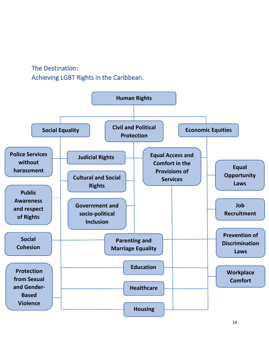<span id="page-14-0"></span>The Destination: Achieving LGBT Rights in the Caribbean.

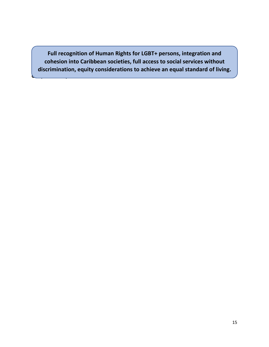<span id="page-15-0"></span>discrimination, equity considerations to achieve an equal standard of living. **Full recognition of Human Rights for LGBT+ persons, integration and cohesion into Caribbean societies, full access to social services without** 

**Grasp what's in your reach…**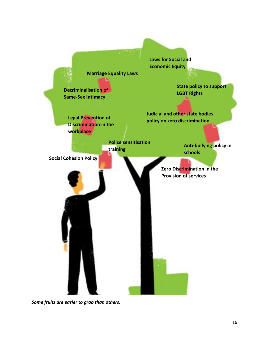

*Some fruits are easier to grab than others.*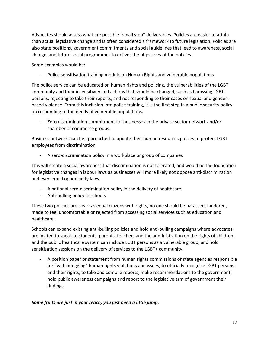Advocates should assess what are possible "small step" deliverables. Policies are easier to attain than actual legislative change and is often considered a framework to future legislation. Policies are also state positions, government commitments and social guidelines that lead to awareness, social change, and future social programmes to deliver the objectives of the policies.

Some examples would be:

- Police sensitisation training module on Human Rights and vulnerable populations

The police service can be educated on human rights and policing, the vulnerabilities of the LGBT community and their insensitivity and actions that should be changed, such as harassing LGBT+ persons, rejecting to take their reports, and not responding to their cases on sexual and genderbased violence. From this inclusion into police training, it is the first step in a public security policy on responding to the needs of vulnerable populations.

- Zero discrimination commitment for businesses in the private sector network and/or chamber of commerce groups.

Business networks can be approached to update their human resources polices to protect LGBT employees from discrimination.

A zero-discrimination policy in a workplace or group of companies

This will create a social awareness that discrimination is not tolerated, and would be the foundation for legislative changes in labour laws as businesses will more likely not oppose anti-discrimination and even equal opportunity laws.

- A national zero-discrimination policy in the delivery of healthcare
- Anti-bulling policy in schools

These two policies are clear: as equal citizens with rights, no one should be harassed, hindered, made to feel uncomfortable or rejected from accessing social services such as education and healthcare.

Schools can expand existing anti-bulling policies and hold anti-bulling campaigns where advocates are invited to speak to students, parents, teachers and the administration on the rights of children; and the public healthcare system can include LGBT persons as a vulnerable group, and hold sensitisation sessions on the delivery of services to the LGBT+ community.

- A position paper or statement from human rights commissions or state agencies responsible for "watchdogging" human rights violations and issues, to officially recognise LGBT persons and their rights; to take and compile reports, make recommendations to the government, hold public awareness campaigns and report to the legislative arm of government their findings.

#### *Some fruits are just in your reach, you just need a little jump.*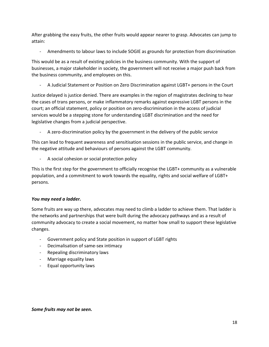After grabbing the easy fruits, the other fruits would appear nearer to grasp. Advocates can jump to attain:

- Amendments to labour laws to include SOGIE as grounds for protection from discrimination

This would be as a result of existing policies in the business community. With the support of businesses, a major stakeholder in society, the government will not receive a major push back from the business community, and employees on this.

- A Judicial Statement or Position on Zero Discrimination against LGBT+ persons in the Court

Justice delayed is justice denied. There are examples in the region of magistrates declining to hear the cases of trans persons, or make inflammatory remarks against expressive LGBT persons in the court; an official statement, policy or position on zero-discrimination in the access of judicial services would be a stepping stone for understanding LGBT discrimination and the need for legislative changes from a judicial perspective.

A zero-discrimination policy by the government in the delivery of the public service

This can lead to frequent awareness and sensitisation sessions in the public service, and change in the negative attitude and behaviours of persons against the LGBT community.

- A social cohesion or social protection policy

This is the first step for the government to officially recognise the LGBT+ community as a vulnerable population, and a commitment to work towards the equality, rights and social welfare of LGBT+ persons.

#### *You may need a ladder.*

Some fruits are way up there, advocates may need to climb a ladder to achieve them. That ladder is the networks and partnerships that were built during the advocacy pathways and as a result of community advocacy to create a social movement, no matter how small to support these legislative changes.

- Government policy and State position in support of LGBT rights
- Decimalisation of same-sex intimacy
- Repealing discriminatory laws
- Marriage equality laws
- Equal opportunity laws